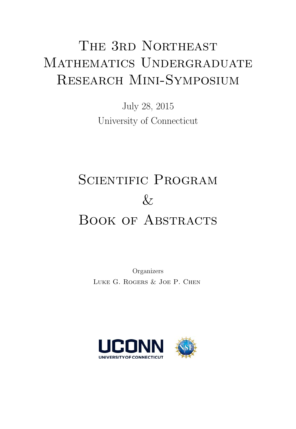# THE 3RD NORTHEAST MATHEMATICS UNDERGRADUATE RESEARCH MINI-SYMPOSIUM

July 28, 2015 University of Connecticut

# SCIENTIFIC PROGRAM  $\&$ BOOK OF ABSTRACTS

Organizers LUKE G. ROGERS & JOE P. CHEN

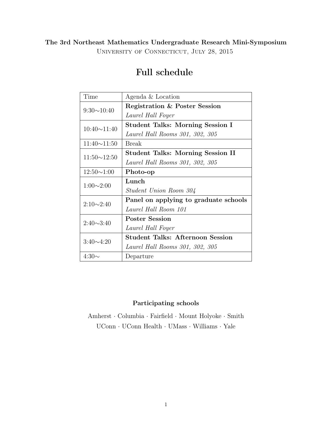UNIVERSITY OF CONNECTICUT, JULY 28, 2015

| Time               | Agenda & Location                        |
|--------------------|------------------------------------------|
| $9:30 \sim 10:40$  | Registration & Poster Session            |
|                    | Laurel Hall Foyer                        |
| $10:40 \sim 11:40$ | Student Talks: Morning Session I         |
|                    | Laurel Hall Rooms 301, 302, 305          |
| $11:40 \sim 11:50$ | <b>Break</b>                             |
| $11:50 \sim 12:50$ | <b>Student Talks: Morning Session II</b> |
|                    | Laurel Hall Rooms 301, 302, 305          |
| $12:50 \sim 1:00$  | Photo-op                                 |
| $1:00 \sim 2:00$   | Lunch                                    |
|                    | Student Union Room 304                   |
| $2:10\sim2:40$     | Panel on applying to graduate schools    |
|                    | Laurel Hall Room 101                     |
| $2:40 \sim 3:40$   | <b>Poster Session</b>                    |
|                    | Laurel Hall Foyer                        |
| $3:40 \sim 4:20$   | <b>Student Talks: Afternoon Session</b>  |
|                    | Laurel Hall Rooms 301, 302, 305          |
| $4:30\sim$         | Departure                                |

## Full schedule

### Participating schools

Amherst · Columbia · Fairfield · Mount Holyoke · Smith  $UConn\,\cdot\,UConn$  Health $\,\cdot\,$ UMass $\,\cdot\,$  Williams $\,\cdot\,$  Yale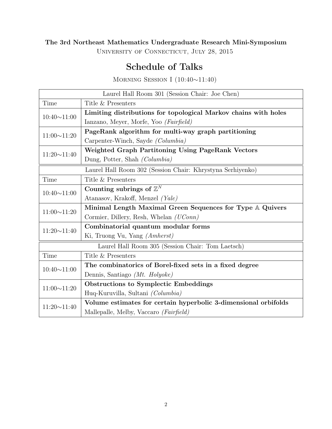University of Connecticut, July 28, 2015

## Schedule of Talks

Morning Session I (10:40∼11:40)

|                                                            | Laurel Hall Room 301 (Session Chair: Joe Chen)                  |  |  |
|------------------------------------------------------------|-----------------------------------------------------------------|--|--|
| Time                                                       | Title & Presenters                                              |  |  |
| $10:40 \sim 11:00$                                         | Limiting distributions for topological Markov chains with holes |  |  |
|                                                            | Ianzano, Meyer, Morfe, Yoo (Fairfield)                          |  |  |
| $11:00{\sim}11:20$                                         | PageRank algorithm for multi-way graph partitioning             |  |  |
|                                                            | Carpenter-Winch, Sayde (Columbia)                               |  |  |
| $11:20 \sim 11:40$                                         | Weighted Graph Partitoning Using PageRank Vectors               |  |  |
|                                                            | Dung, Potter, Shah (Columbia)                                   |  |  |
| Laurel Hall Room 302 (Session Chair: Khrystyna Serhiyenko) |                                                                 |  |  |
| Time                                                       | Title & Presenters                                              |  |  |
| $10:40 \sim 11:00$                                         | Counting subrings of $\mathbb{Z}^N$                             |  |  |
|                                                            | Atanasov, Krakoff, Menzel <i>(Yale)</i>                         |  |  |
| $11:00 \sim 11:20$                                         | Minimal Length Maximal Green Sequences for Type A Quivers       |  |  |
|                                                            | Cormier, Dillery, Resh, Whelan (UConn)                          |  |  |
| $11:20 \sim 11:40$                                         | Combinatorial quantum modular forms                             |  |  |
|                                                            | Ki, Truong Vu, Yang (Amherst)                                   |  |  |
| Laurel Hall Room 305 (Session Chair: Tom Laetsch)          |                                                                 |  |  |
| Time                                                       | Title & Presenters                                              |  |  |
| $10:40 \sim 11:00$                                         | The combinatorics of Borel-fixed sets in a fixed degree         |  |  |
|                                                            | Dennis, Santiago (Mt. Holyoke)                                  |  |  |
| $11:00 \sim 11:20$                                         | <b>Obstructions to Symplectic Embeddings</b>                    |  |  |
|                                                            | Huq-Kuruvilla, Sultani (Columbia)                               |  |  |
| $11:20 \sim 11:40$                                         | Volume estimates for certain hyperbolic 3-dimensional orbifolds |  |  |
|                                                            | Mallepalle, Melby, Vaccaro (Fairfield)                          |  |  |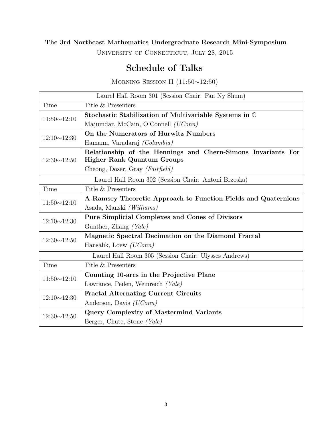UNIVERSITY OF CONNECTICUT, JULY 28, 2015

## Schedule of Talks

Morning Session II (11:50∼12:50)

|                                                       | Laurel Hall Room 301 (Session Chair: Fan Ny Shum)              |  |  |
|-------------------------------------------------------|----------------------------------------------------------------|--|--|
| Time                                                  | Title & Presenters                                             |  |  |
| $11:50 \sim 12:10$                                    | Stochastic Stabilization of Multivariable Systems in C         |  |  |
|                                                       | Majumdar, McCain, O'Connell (UConn)                            |  |  |
| $12:10 \sim 12:30$                                    | On the Numerators of Hurwitz Numbers                           |  |  |
|                                                       | Hamann, Varadaraj <i>(Columbia)</i>                            |  |  |
| $12:30 \sim 12:50$                                    | Relationship of the Hennings and Chern-Simons Invariants For   |  |  |
|                                                       | <b>Higher Rank Quantum Groups</b>                              |  |  |
|                                                       | Cheong, Doser, Gray (Fairfield)                                |  |  |
| Laurel Hall Room 302 (Session Chair: Antoni Brzoska)  |                                                                |  |  |
| Time                                                  | Title & Presenters                                             |  |  |
| $11:50 \sim 12:10$                                    | A Ramsey Theoretic Approach to Function Fields and Quaternions |  |  |
|                                                       | Asada, Manski <i>(Williams)</i>                                |  |  |
| $12:10 \sim 12:30$                                    | <b>Pure Simplicial Complexes and Cones of Divisors</b>         |  |  |
|                                                       | Gunther, Zhang $(Yale)$                                        |  |  |
| $12:30 \sim 12:50$                                    | Magnetic Spectral Decimation on the Diamond Fractal            |  |  |
|                                                       | Hansalik, Loew $(UConn)$                                       |  |  |
| Laurel Hall Room 305 (Session Chair: Ulysses Andrews) |                                                                |  |  |
| Time                                                  | Title & Presenters                                             |  |  |
| $11:50 \sim 12:10$                                    | Counting 10-arcs in the Projective Plane                       |  |  |
|                                                       | Lawrance, Peilen, Weinreich (Yale)                             |  |  |
| $12:10 \sim 12:30$                                    | <b>Fractal Alternating Current Circuits</b>                    |  |  |
|                                                       | Anderson, Davis ( <i>UConn</i> )                               |  |  |
| $12:30 \sim 12:50$                                    | <b>Query Complexity of Mastermind Variants</b>                 |  |  |
|                                                       | Berger, Chute, Stone (Yale)                                    |  |  |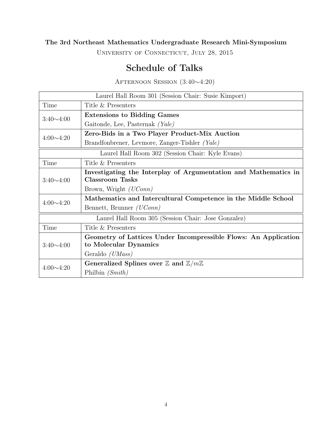UNIVERSITY OF CONNECTICUT, JULY 28, 2015

## Schedule of Talks

Afternoon Session (3:40∼4:20)

| Laurel Hall Room 301 (Session Chair: Susie Kimport) |                                                                                           |  |
|-----------------------------------------------------|-------------------------------------------------------------------------------------------|--|
| Time                                                | Title & Presenters                                                                        |  |
| $3:40 \sim 4:00$                                    | <b>Extensions to Bidding Games</b>                                                        |  |
|                                                     | Gaitonde, Lee, Pasternak (Yale)                                                           |  |
| $4:00 \sim 4:20$                                    | Zero-Bids in a Two Player Product-Mix Auction                                             |  |
|                                                     | Brandfonbrener, Levmore, Zanger-Tishler (Yale)                                            |  |
| Laurel Hall Room 302 (Session Chair: Kyle Evans)    |                                                                                           |  |
| Time                                                | Title & Presenters                                                                        |  |
| $3:40 \sim 4:00$                                    | Investigating the Interplay of Argumentation and Mathematics in<br><b>Classroom Tasks</b> |  |
|                                                     | Brown, Wright <i>(UConn)</i>                                                              |  |
| $4:00 \sim 4:20$                                    | Mathematics and Intercultural Competence in the Middle School                             |  |
|                                                     | Bennett, Brunner <i>(UConn)</i>                                                           |  |
| Laurel Hall Room 305 (Session Chair: Jose Gonzalez) |                                                                                           |  |
| Time                                                | Title & Presenters                                                                        |  |
| $3:40 \sim 4:00$                                    | Geometry of Lattices Under Incompressible Flows: An Application<br>to Molecular Dynamics  |  |
|                                                     | Geraldo <i>(UMass)</i>                                                                    |  |
| $4:00 \sim 4:20$                                    | Generalized Splines over $\mathbb Z$ and $\mathbb Z/m\mathbb Z$                           |  |
|                                                     | Philbin $(Smith)$                                                                         |  |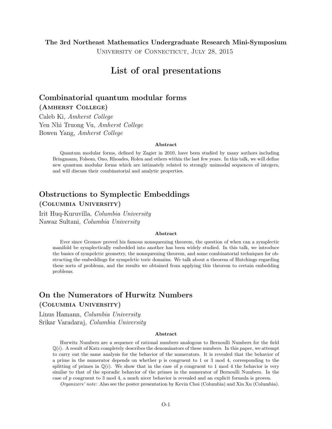University of Connecticut, July 28, 2015

## List of oral presentations

## Combinatorial quantum modular forms (Amherst College)

Caleb Ki, Amherst College Yen Nhi Truong Vu, Amherst College Bowen Yang, Amherst College

#### Abstract

Quantum modular forms, defined by Zagier in 2010, have been studied by many authors including Bringmann, Folsom, Ono, Rhoades, Rolen and others within the last few years. In this talk, we will define new quantum modular forms which are intimately related to strongly unimodal sequences of integers, and will discuss their combinatorial and analytic properties.

## Obstructions to Symplectic Embeddings (Columbia University)

Irit Huq-Kuruvilla, Columbia University Nawaz Sultani, Columbia University

#### Abstract

Ever since Gromov proved his famous nonsqueezing theorem, the question of when can a symplectic manifold be symplectically embedded into another has been widely studied. In this talk, we introduce the basics of sympelctic geometry, the nonsqueezing theorem, and some combinatorial techniques for obstructing the embeddings for sympelctic toric domains. We talk about a theorem of Hutchings regarding these sorts of problems, and the results we obtained from applying this theorem to certain embedding problems.

## On the Numerators of Hurwitz Numbers (Columbia University)

Linus Hamann, Columbia University Srikar Varadaraj, Columbia University

#### Abstract

Hurwitz Numbers are a sequence of rational numbers analogous to Bernoulli Numbers for the field  $\mathbb{Q}(i)$ . A result of Katz completely describes the denominators of these numbers. In this paper, we attempt to carry out the same analysis for the behavior of the numerators. It is revealed that the behavior of a prime in the numerator depends on whether p is congruent to 1 or 3 mod 4, corresponding to the splitting of primes in  $\mathbb{Q}(i)$ . We show that in the case of p congruent to 1 mod 4 the behavior is very similar to that of the sporadic behavior of the primes in the numerator of Bernoulli Numbers. In the case of p congruent to 3 mod 4, a much nicer behavior is revealed and an explicit formula is proven.

Organizers' note: Also see the poster presentation by Kevin Choi (Columbia) and Xin Xu (Columbia).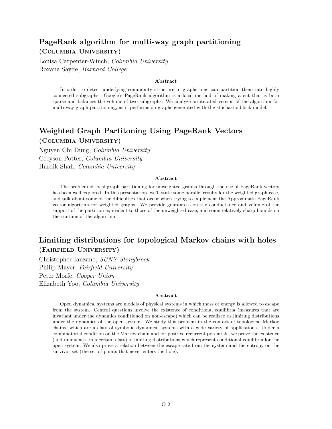## PageRank algorithm for multi-way graph partitioning (Columbia University)

Louisa Carpenter-Winch, Columbia University Roxane Sayde, Barnard College

#### Abstract

In order to detect underlying community structure in graphs, one can partition them into highly connected subgraphs. Google's PageRank algorithm is a local method of making a cut that is both sparse and balances the volume of two subgraphs. We analyze an iterated version of the algorithm for multi-way graph partitioning, as it performs on graphs generated with the stochastic block model.

## Weighted Graph Partitoning Using PageRank Vectors (Columbia University)

Nguyen Chi Dung, Columbia University Greyson Potter, Columbia University Hardik Shah, Columbia University

#### Abstract

The problem of local graph partitioning for unweighted graphs through the use of PageRank vectors has been well explored. In this presentation, we'll state some parallel results for the weighted graph case, and talk about some of the difficulties that occur when trying to implement the Approximate PageRank vector algorithm for weighted graphs. We provide guarantees on the conductance and volume of the support of the partition equivalent to those of the unweighted case, and some relatively sharp bounds on the runtime of the algorithm.

## Limiting distributions for topological Markov chains with holes (Fairfield University)

Christopher Ianzano, SUNY Stonybrook Philip Mayer, Fairfield University Peter Morfe, Cooper Union Elizabeth Yoo, Columbia University

#### Abstract

Open dynamical systems are models of physical systems in which mass or energy is allowed to escape from the system. Central questions involve the existence of conditional equilibria (measures that are invariant under the dynamics conditioned on non-escape) which can be realized as limiting distributions under the dynamics of the open system. We study this problem in the context of topological Markov chains, which are a class of symbolic dynamical systems with a wide variety of applications. Under a combinatorial condition on the Markov chain and for positive recurrent potentials, we prove the existence (and uniqueness in a certain class) of limiting distributions which represent conditional equilibria for the open system. We also prove a relation between the escape rate from the system and the entropy on the survivor set (the set of points that never enters the hole).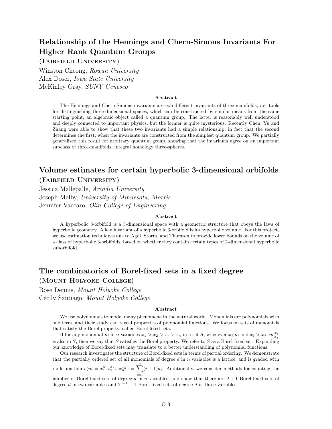## Relationship of the Hennings and Chern-Simons Invariants For Higher Rank Quantum Groups

(Fairfield University)

Winston Cheong, Rowan University Alex Doser, Iowa State University McKinley Gray, SUNY Geneseo

#### Abstract

The Hennings and Chern-Simons invariants are two different invariants of three-manifolds, i.e. tools for distinguishing three-dimensional spaces, which can be constructed by similar means from the same starting point, an algebraic object called a quantum group. The latter is reasonably well understood and deeply connected to important physics, but the former is quite mysterious. Recently Chen, Yu and Zhang were able to show that these two invariants had a simple relationship, in fact that the second determines the first, when the invariants are constructed from the simplest quantum group. We partially generalized this result for arbitrary quantum group, showing that the invariants agree on an important subclass of three-manifolds, integral homology three-spheres.

## Volume estimates for certain hyperbolic 3-dimensional orbifolds (Fairfield University)

Jessica Mallepalle, Arcadia University Joseph Melby, University of Minnesota, Morris Jennifer Vaccaro, Olin College of Engineering

#### Abstract

A hyperbolic 3-orbifold is a 3-dimensional space with a geometric structure that obeys the laws of hyperbolic geometry. A key invariant of a hyperbolic 3-orbifold is its hyperbolic volume. For this project, we use estimation techniques due to Agol, Storm, and Thurston to provide lower bounds on the volume of a class of hyperbolic 3-orbifolds, based on whether they contain certain types of 2-dimensional hyperbolic suborbifold.

## The combinatorics of Borel-fixed sets in a fixed degree (Mount Holyoke College)

Rose Dennis, Mount Holyoke College Cecily Santiago, Mount Holyoke College

#### Abstract

We use polynomials to model many phenomena in the natural world. Monomials are polynomials with one term, and their study can reveal properties of polynomial functions. We focus on sets of monomials that satisfy the Borel property, called Borel-fixed sets.

If for any monomial m in n variables  $x_1 > x_2 > ... > x_n$  in a set S, whenever  $x_j | m$  and  $x_i > x_j$ ,  $m \frac{x_i}{x_j}$ is also in S, then we say that S satisfies the Borel property. We refer to S as a Borel-fixed set. Expanding our knowledge of Borel-fixed sets may translate to a better understanding of polynomial functions.

Our research investigates the structure of Borel-fixed sets in terms of partial ordering. We demonstrate that the partially ordered set of all monomials of degree  $d$  in  $n$  variables is a lattice, and is graded with rank function  $r(m = x_1^{a_1} x_2^{a_2} ... x_n^{a_n}) = \sum^n$  $(i-1)a_i$ . Additionally, we consider methods for counting the

 $i=1$ number of Borel-fixed sets of degree d in n variables, and show that there are  $d+1$  Borel-fixed sets of degree d in two variables and  $2^{d+1} - 1$  Borel-fixed sets of degree d in three variables.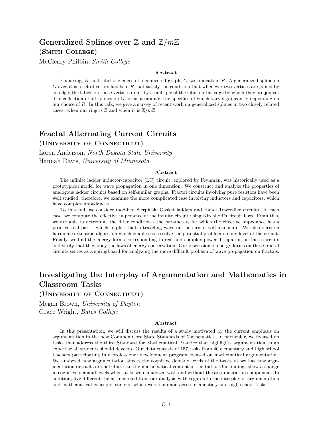## Generalized Splines over  $\mathbb Z$  and  $\mathbb Z/m\mathbb Z$ (Smith College)

McCleary Philbin, Smith College

#### Abstract

Fix a ring,  $R$ , and label the edges of a connected graph,  $G$ , with ideals in  $R$ . A generalized spline on G over  $R$  is a set of vertex labels in  $R$  that satisfy the condition that whenever two vertices are joined by an edge, the labels on those vertices differ by a multiple of the label on the edge by which they are joined. The collection of all splines on G forms a module, the specifics of which vary significantly depending on our choice of R. In this talk, we give a survey of recent work on generalized splines in two closely related cases: when our ring is  $\mathbb Z$  and when it is  $\mathbb Z/m\mathbb Z$ .

## Fractal Alternating Current Circuits

(University of Connecticut)

Loren Anderson, North Dakota State University Hannah Davis, University of Minnesota

#### Abstract

The infinite ladder inductor-capacitor (LC) circuit, explored by Feynman, was historically used as a prototypical model for wave propagation in one dimension. We construct and analyze the properties of analogous ladder circuits based on self-similar graphs. Fractal circuits involving pure resistors have been well studied; therefore, we examine the more complicated case involving inductors and capacitors, which have complex impedances.

To this end, we consider modified Sierpinski Gasket ladders and Hanoi Tower-like circuits. In each case, we compute the effective impedance of the infinite circuit using Kirchhoff's circuit laws. From this, we are able to determine the filter condition - the parameters for which the effective impedance has a positive real part - which implies that a traveling wave on the circuit will attenuate. We also derive a harmonic extension algorithm which enables us to solve the potential problem on any level of the circuit. Finally, we find the energy forms corresponding to real and complex power dissipation on these circuits and verify that they obey the laws of energy conservation. Our discussion of energy forms on these fractal circuits serves as a springboard for analyzing the more difficult problem of wave propagation on fractals.

## Investigating the Interplay of Argumentation and Mathematics in Classroom Tasks

(University of Connecticut)

Megan Brown, University of Dayton Grace Wright, Bates College

#### Abstract

In this presentation, we will discuss the results of a study motivated by the current emphasis on argumentation in the new Common Core State Standards of Mathematics. In particular, we focused on tasks that address the third Standard for Mathematical Practice that highlights argumentation as an expertise all students should develop. Our data consists of 157 tasks from 40 elementary and high school teachers participating in a professional development program focused on mathematical argumentation. We analyzed how argumentation affects the cognitive demand levels of the tasks, as well as how argumentation detracts or contributes to the mathematical content in the tasks. Our findings show a change in cognitive demand levels when tasks were analyzed with and without the argumentation component. In addition, five different themes emerged from our analysis with regards to the interplay of argumentation and mathematical concepts, some of which were common across elementary and high school tasks.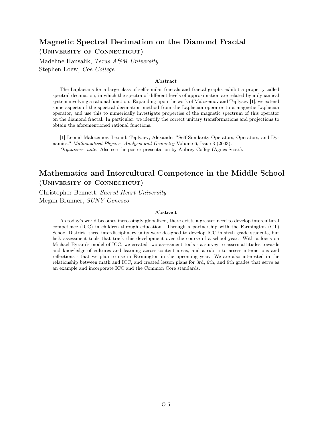## Magnetic Spectral Decimation on the Diamond Fractal (University of Connecticut)

Madeline Hansalik, Texas A&M University Stephen Loew, Coe College

#### Abstract

The Laplacians for a large class of self-similar fractals and fractal graphs exhibit a property called spectral decimation, in which the spectra of different levels of approximation are related by a dynamical system involving a rational function. Expanding upon the work of Malozemov and Teplyaev [1], we extend some aspects of the spectral decimation method from the Laplacian operator to a magnetic Laplacian operator, and use this to numerically investigate properties of the magnetic spectrum of this operator on the diamond fractal. In particular, we identify the correct unitary transformations and projections to obtain the aforementioned rational functions.

[1] Leonid Malozemov, Leonid; Teplyaev, Alexander "Self-Similarity Operators, Operators, and Dynamics." Mathematical Physics, Analysis and Geometry Volume 6, Issue 3 (2003). Organizers' note: Also see the poster presentation by Aubrey Coffey (Agnes Scott).

### Mathematics and Intercultural Competence in the Middle School (University of Connecticut)

Christopher Bennett, Sacred Heart University Megan Brunner, SUNY Geneseo

#### Abstract

As today's world becomes increasingly globalized, there exists a greater need to develop intercultural competence (ICC) in children through education. Through a partnership with the Farmington (CT) School District, three interdisciplinary units were designed to develop ICC in sixth grade students, but lack assessment tools that track this development over the course of a school year. With a focus on Michael Byram's model of ICC, we created two assessment tools - a survey to assess attitudes towards and knowledge of cultures and learning across content areas, and a rubric to assess interactions and reflections - that we plan to use in Farmington in the upcoming year. We are also interested in the relationship between math and ICC, and created lesson plans for 3rd, 6th, and 9th grades that serve as an example and incorporate ICC and the Common Core standards.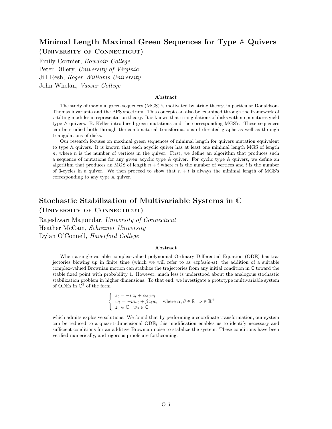## Minimal Length Maximal Green Sequences for Type A Quivers (University of Connecticut)

Emily Cormier, Bowdoin College Peter Dillery, University of Virginia Jill Resh, Roger Williams University John Whelan, Vassar College

#### Abstract

The study of maximal green sequences (MGS) is motivated by string theory, in particular Donaldson-Thomas invariants and the BPS spectrum. This concept can also be examined through the framework of  $\tau$ -tilting modules in representation theory. It is known that triangulations of disks with no punctures yield type A quivers. B. Keller introduced green mutations and the corresponding MGS's. These sequences can be studied both through the combinatorial transformations of directed graphs as well as through triangulations of disks.

Our research focuses on maximal green sequences of minimal length for quivers mutation equivalent to type A quivers. It is known that each acyclic quiver has at least one minimal length MGS of length  $n$ , where n is the number of vertices in the quiver. First, we define an algorithm that produces such a sequence of mutations for any given acyclic type A quiver. For cyclic type A quivers, we define an algorithm that produces an MGS of length  $n + t$  where n is the number of vertices and t is the number of 3-cycles in a quiver. We then proceed to show that  $n + t$  is always the minimal length of MGS's corresponding to any type A quiver.

## Stochastic Stabilization of Multivariable Systems in C

(University of Connecticut)

Rajeshwari Majumdar, University of Connecticut Heather McCain, Schreiner University Dylan O'Connell, Haverford College

#### Abstract

When a single-variable complex-valued polynomial Ordinary Differential Equation (ODE) has trajectories blowing up in finite time (which we will refer to as explosions), the addition of a suitable complex-valued Brownian motion can stabilize the trajectories from any initial condition in C toward the stable fixed point with probability 1. However, much less is understood about the analogous stochastic stabilization problem in higher dimensions. To that end, we investigate a prototype multivariable system of ODEs in  $\mathbb{C}^2$  of the form

$$
\begin{cases} \n\dot{z}_t = -\nu z_t + \alpha z_t w_t \\
\dot{w}_t = -\nu w_t + \beta z_t w_t \quad \text{where } \alpha, \beta \in \mathbb{R}, \ \nu \in \mathbb{R}^+ \\
z_0 \in \mathbb{C}, \ w_0 \in \mathbb{C} \n\end{cases}
$$

which admits explosive solutions. We found that by performing a coordinate transformation, our system can be reduced to a quasi-1-dimensional ODE; this modification enables us to identify necessary and sufficient conditions for an additive Brownian noise to stabilize the system. These conditions have been verified numerically, and rigorous proofs are forthcoming.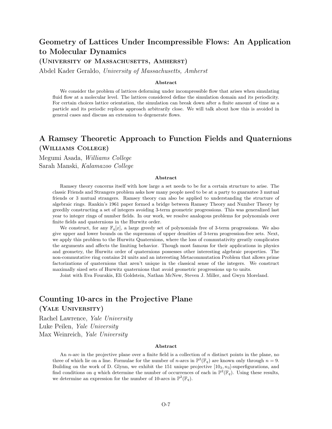## Geometry of Lattices Under Incompressible Flows: An Application to Molecular Dynamics

#### (UNIVERSITY OF MASSACHUSETTS, AMHERST)

Abdel Kader Geraldo, University of Massachusetts, Amherst

#### Abstract

We consider the problem of lattices deforming under incompressible flow that arises when simulating fluid flow at a molecular level. The lattices considered define the simulation domain and its periodicity. For certain choices lattice orientation, the simulation can break down after a finite amount of time as a particle and its periodic replicas approach arbitrarily close. We will talk about how this is avoided in general cases and discuss an extension to degenerate flows.

## A Ramsey Theoretic Approach to Function Fields and Quaternions (Williams College)

Megumi Asada, Williams College Sarah Manski, Kalamazoo College

#### Abstract

Ramsey theory concerns itself with how large a set needs to be for a certain structure to arise. The classic Friends and Strangers problem asks how many people need to be at a party to guarantee 3 mutual friends or 3 mutual strangers. Ramsey theory can also be applied to understanding the structure of algebraic rings. Rankin's 1961 paper formed a bridge between Ramsey Theory and Number Theory by greedily constructing a set of integers avoiding 3-term geometric progressions. This was generalized last year to integer rings of number fields. In our work, we resolve analogous problems for polynomials over finite fields and quaternions in the Hurwitz order.

We construct, for any  $\mathbb{F}_q[x]$ , a large greedy set of polynomials free of 3-term progressions. We also give upper and lower bounds on the supremum of upper densities of 3-term progression-free sets. Next, we apply this problem to the Hurwitz Quaternions, where the loss of commutativity greatly complicates the arguments and affects the limiting behavior. Though most famous for their applications in physics and geometry, the Hurwitz order of quaternions possesses other interesting algebraic properties. The non-commutative ring contains 24 units and an interesting Metacommutation Problem that allows prime factorizations of quaternions that aren't unique in the classical sense of the integers. We construct maximally sized sets of Hurwitz quaternions that avoid geometric progressions up to units.

Joint with Eva Fourakis, Eli Goldstein, Nathan McNew, Steven J. Miller, and Gwyn Moreland.

### Counting 10-arcs in the Projective Plane (Yale University)

## Rachel Lawrence, Yale University

Luke Peilen, Yale University Max Weinreich, Yale University

#### Abstract

An *n*-arc in the projective plane over a finite field is a collection of *n* distinct points in the plane, no three of which lie on a line. Formulae for the number of *n*-arcs in  $\mathbb{P}^2(\mathbb{F}_q)$  are known only through  $n = 9$ . Building on the work of D. Glynn, we exhibit the 151 unique projective  $[10<sub>3</sub>, n<sub>3</sub>]$ -superfigurations, and find conditions on q which determine the number of occurrences of each in  $\mathbb{P}^2(\mathbb{F}_q)$ . Using these results, we determine an expression for the number of 10-arcs in  $\mathbb{P}^2(\mathbb{F}_q)$ .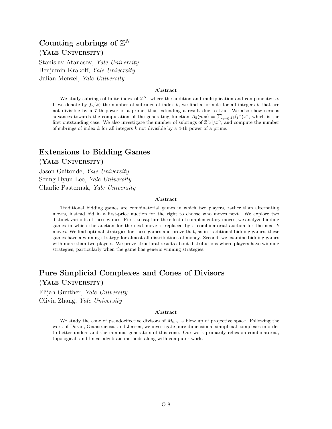## Counting subrings of  $\mathbb{Z}^N$ (Yale University)

Stanislav Atanasov, Yale University Benjamin Krakoff, Yale University Julian Menzel, Yale University

#### Abstract

We study subrings of finite index of  $\mathbb{Z}^N$ , where the addition and multiplication and componentwise. If we denote by  $f_n(k)$  the number of subrings of index k, we find a formula for all integers k that are not divisible by a 7-th power of a prime, thus extending a result due to Liu. We also show serious advances towards the computation of the generating function  $A_5(p,x) = \sum_{e=0} f_5(p^e)x^e$ , which is the first outstanding case. We also investigate the number of subrings of  $\mathbb{Z}[x]/x^n$ , and compute the number of subrings of index  $k$  for all integers  $k$  not divisible by a 4-th power of a prime.

## Extensions to Bidding Games (Yale University)

Jason Gaitonde, Yale University Seung Hyun Lee, Yale University Charlie Pasternak, Yale University

#### Abstract

Traditional bidding games are combinatorial games in which two players, rather than alternating moves, instead bid in a first-price auction for the right to choose who moves next. We explore two distinct variants of these games. First, to capture the effect of complementary moves, we analyze bidding games in which the auction for the next move is replaced by a combinatorial auction for the next  $k$ moves. We find optimal strategies for these games and prove that, as in traditional bidding games, these games have a winning strategy for almost all distributions of money. Second, we examine bidding games with more than two players. We prove structural results about distributions where players have winning strategies, particularly when the game has generic winning strategies.

## Pure Simplicial Complexes and Cones of Divisors (Yale University)

Elijah Gunther, Yale University Olivia Zhang, Yale University

#### Abstract

We study the cone of pseudoeffective divisors of  $\overline{M}_{0,n}$ , a blow up of projective space. Following the work of Doran, Giansiracusa, and Jensen, we investigate pure-dimensional simiplicial complexes in order to better understand the minimal generators of this cone. Our work primarily relies on combinatorial, topological, and linear algebraic methods along with computer work.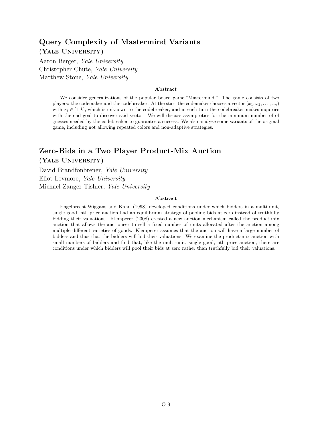## Query Complexity of Mastermind Variants (Yale University)

Aaron Berger, Yale University Christopher Chute, Yale University Matthew Stone, Yale University

#### Abstract

We consider generalizations of the popular board game "Mastermind." The game consists of two players: the codemaker and the codebreaker. At the start the codemaker chooses a vector  $(x_1, x_2, \ldots, x_n)$ with  $x_i \in [1, k]$ , which is unknown to the codebreaker, and in each turn the codebreaker makes inquiries with the end goal to discover said vector. We will discuss asymptotics for the minimum number of of guesses needed by the codebreaker to guarantee a success. We also analyze some variants of the original game, including not allowing repeated colors and non-adaptive strategies.

## Zero-Bids in a Two Player Product-Mix Auction (Yale University)

David Brandfonbrener, Yale University Eliot Levmore, Yale University Michael Zanger-Tishler, Yale University

#### Abstract

Engelbrecht-Wiggans and Kahn (1998) developed conditions under which bidders in a multi-unit, single good, nth price auction had an equilibrium strategy of pooling bids at zero instead of truthfully bidding their valuations. Klemperer (2008) created a new auction mechanism called the product-mix auction that allows the auctioneer to sell a fixed number of units allocated after the auction among multiple different varieties of goods. Klemperer assumes that the auction will have a large number of bidders and thus that the bidders will bid their valuations. We examine the product-mix auction with small numbers of bidders and find that, like the multi-unit, single good, nth price auction, there are conditions under which bidders will pool their bids at zero rather than truthfully bid their valuations.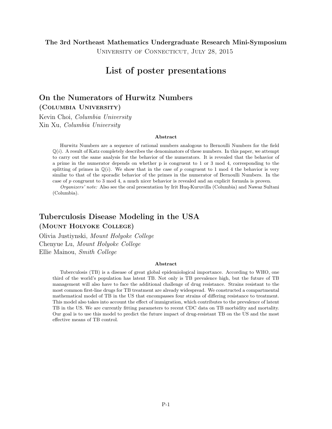University of Connecticut, July 28, 2015

## List of poster presentations

### On the Numerators of Hurwitz Numbers (Columbia University)

Kevin Choi, Columbia University Xin Xu, Columbia University

#### Abstract

Hurwitz Numbers are a sequence of rational numbers analogous to Bernoulli Numbers for the field  $\mathbb{Q}(i)$ . A result of Katz completely describes the denominators of these numbers. In this paper, we attempt to carry out the same analysis for the behavior of the numerators. It is revealed that the behavior of a prime in the numerator depends on whether p is congruent to 1 or 3 mod 4, corresponding to the splitting of primes in  $\mathbb{Q}(i)$ . We show that in the case of p congruent to 1 mod 4 the behavior is very similar to that of the sporadic behavior of the primes in the numerator of Bernoulli Numbers. In the case of p congruent to 3 mod 4, a much nicer behavior is revealed and an explicit formula is proven.

Organizers' note: Also see the oral presentation by Irit Huq-Kuruvilla (Columbia) and Nawaz Sultani (Columbia).

## Tuberculosis Disease Modeling in the USA

### (Mount Holyoke College)

Olivia Justiynski, Mount Holyoke College Chenyue Lu, Mount Holyoke College Ellie Mainou, Smith College

#### Abstract

Tuberculosis (TB) is a disease of great global epidemiological importance. According to WHO, one third of the world's population has latent TB. Not only is TB prevalence high, but the future of TB management will also have to face the additional challenge of drug resistance. Strains resistant to the most common first-line drugs for TB treatment are already widespread. We constructed a compartmental mathematical model of TB in the US that encompasses four strains of differing resistance to treatment. This model also takes into account the effect of immigration, which contributes to the prevalence of latent TB in the US. We are currently fitting parameters to recent CDC data on TB morbidity and mortality. Our goal is to use this model to predict the future impact of drug-resistant TB on the US and the most effective means of TB control.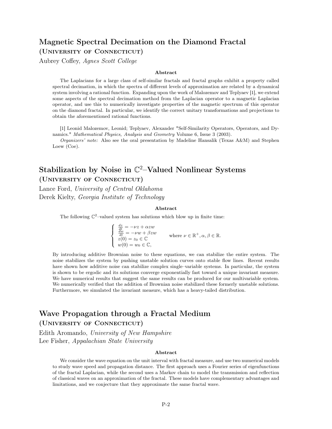## Magnetic Spectral Decimation on the Diamond Fractal (University of Connecticut)

Aubrey Coffey, Agnes Scott College

#### Abstract

The Laplacians for a large class of self-similar fractals and fractal graphs exhibit a property called spectral decimation, in which the spectra of different levels of approximation are related by a dynamical system involving a rational function. Expanding upon the work of Malozemov and Teplyaev [1], we extend some aspects of the spectral decimation method from the Laplacian operator to a magnetic Laplacian operator, and use this to numerically investigate properties of the magnetic spectrum of this operator on the diamond fractal. In particular, we identify the correct unitary transformations and projections to obtain the aforementioned rational functions.

[1] Leonid Malozemov, Leonid; Teplyaev, Alexander "Self-Similarity Operators, Operators, and Dynamics." Mathematical Physics, Analysis and Geometry Volume 6, Issue 3 (2003).

*Organizers' note:* Also see the oral presentation by Madeline Hansalik (Texas  $A\&M$ ) and Stephen Loew (Coe).

## Stabilization by Noise in  $\mathbb{C}^2$ -Valued Nonlinear Systems (University of Connecticut)

Lance Ford, University of Central Oklahoma Derek Kielty, Georgia Institute of Technology

#### Abstract

The following  $\mathbb{C}^2$ -valued system has solutions which blow up in finite time:

$$
\begin{cases}\n\frac{dz}{dt} = -\nu z + \alpha z w \\
\frac{dw}{dt} = -\nu w + \beta z w \\
z(0) = z_0 \in \mathbb{C} \\
w(0) = w_0 \in \mathbb{C},\n\end{cases}
$$
\nwhere  $\nu \in \mathbb{R}^+, \alpha, \beta \in \mathbb{R}$ .

By introducing additive Brownian noise to these equations, we can stabilize the entire system. The noise stabilizes the system by pushing unstable solution curves onto stable flow lines. Recent results have shown how additive noise can stabilize complex single–variable systems. In particular, the system is shown to be ergodic and its solutions converge exponentially fast toward a unique invariant measure. We have numerical results that suggest the same results can be produced for our multivariable system. We numerically verified that the addition of Brownian noise stabilized these formerly unstable solutions. Furthermore, we simulated the invariant measure, which has a heavy-tailed distribution.

## Wave Propagation through a Fractal Medium

### (University of Connecticut)

Edith Aromando, University of New Hampshire Lee Fisher, Appalachian State University

#### Abstract

We consider the wave equation on the unit interval with fractal measure, and use two numerical models to study wave speed and propagation distance. The first approach uses a Fourier series of eigenfunctions of the fractal Laplacian, while the second uses a Markov chain to model the transmission and reflection of classical waves on an approximation of the fractal. These models have complementary advantages and limitations, and we conjecture that they approximate the same fractal wave.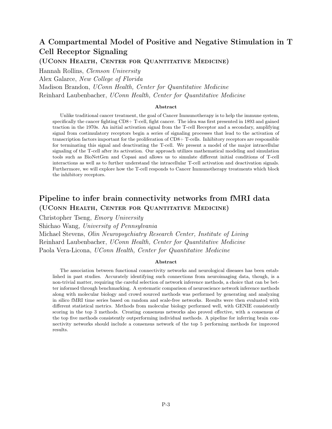## A Compartmental Model of Positive and Negative Stimulation in T Cell Receptor Signaling

(UConn Health, Center for Quantitative Medicine)

Hannah Rollins, Clemson University Alex Galarce, New College of Florida Madison Brandon, UConn Health, Center for Quantitative Medicine Reinhard Laubenbacher, UConn Health, Center for Quantitative Medicine

#### Abstract

Unlike traditional cancer treatment, the goal of Cancer Immunotherapy is to help the immune system, specifically the cancer fighting CD8+ T-cell, fight cancer. The idea was first presented in 1893 and gained traction in the 1970s. An initial activation signal from the T-cell Receptor and a secondary, amplifying signal from costimulatory receptors begin a series of signaling processes that lead to the activation of transcription factors important for the proliferation of CD8+ T-cells. Inhibitory receptors are responsible for terminating this signal and deactivating the T-cell. We present a model of the major intracellular signaling of the T-cell after its activation. Our approach utilizes mathematical modeling and simulation tools such as BioNetGen and Copasi and allows us to simulate different initial conditions of T-cell interactions as well as to further understand the intracellular T-cell activation and deactivation signals. Furthermore, we will explore how the T-cell responds to Cancer Immunotherapy treatments which block the inhibitory receptors.

## Pipeline to infer brain connectivity networks from fMRI data (UConn Health, Center for Quantitative Medicine)

Christopher Tseng, Emory University Shichao Wang, University of Pennsylvania Michael Stevens, Olin Neuropsychiatry Research Center, Institute of Living Reinhard Laubenbacher, UConn Health, Center for Quantitative Medicine Paola Vera-Licona, UConn Health, Center for Quantitative Medicine

#### Abstract

The association between functional connectivity networks and neurological diseases has been established in past studies. Accurately identifying such connections from neuroimaging data, though, is a non-trivial matter, requiring the careful selection of network inference methods, a choice that can be better informed through benchmarking. A systematic comparison of neuroscience network inference methods along with molecular biology and crowd sourced methods was performed by generating and analyzing in silico fMRI time series based on random and scale-free networks. Results were then evaluated with different statistical metrics. Methods from molecular biology performed well, with GENIE consistently scoring in the top 3 methods. Creating consensus networks also proved effective, with a consensus of the top five methods consistently outperforming individual methods. A pipeline for inferring brain connectivity networks should include a consensus network of the top 5 performing methods for improved results.